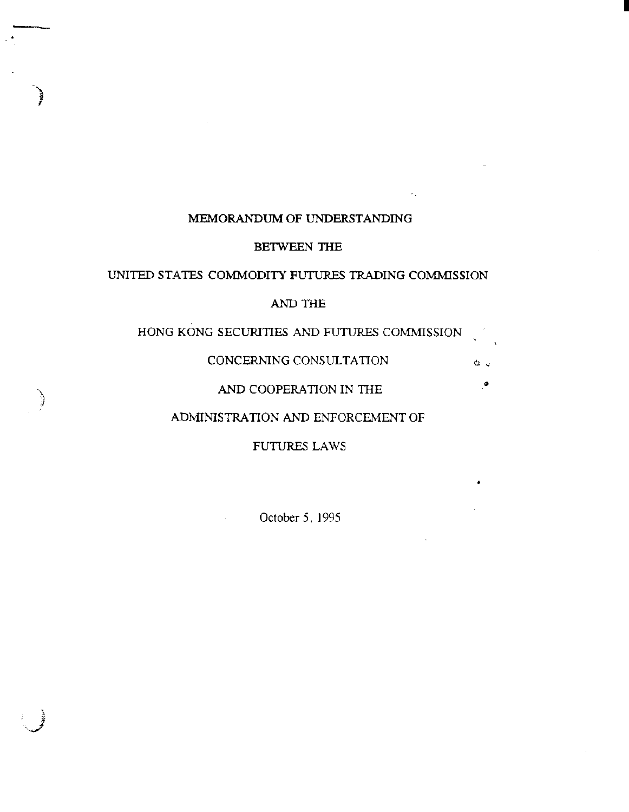## MEMORANDUM OF UNDERSTANDING

)<br>}

*i* 

I

## BETWEEN THE

## UNITED STATES COMMODITY FUTURES TRADING COMMISSION

## AND THE

HONG KONG SECURITIES AND FUTURES COMMISSION

CONCERNING CONSULTATION

## AND COOPERATION IN THE  $\bullet$

#### ADMINISTRATION AND ENFORCEMENT OF

FUTIJRES LAWS

•

à.

October 5, 1995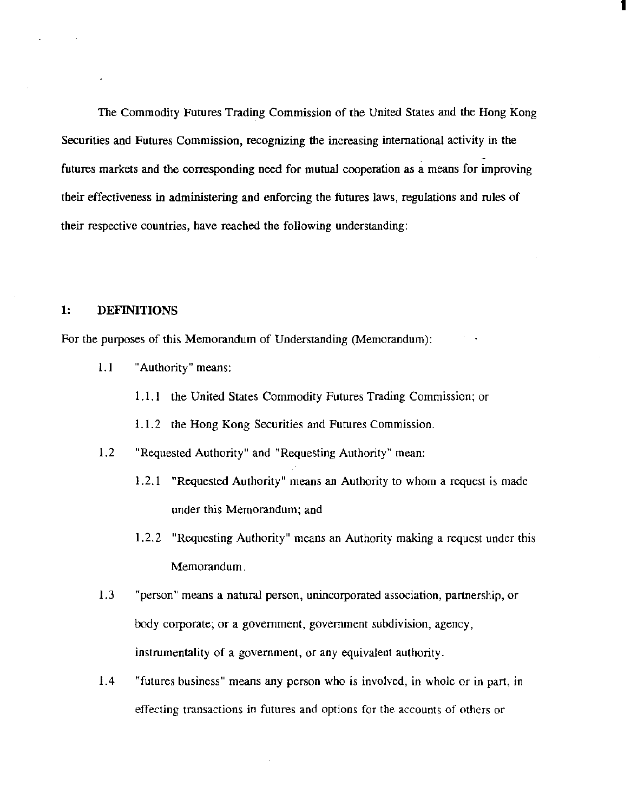The Commodity Futures Trading Commission of the United States and the Hong Kong Securities and Futures Commission, recognizing the increasing international activity in the futures markets and the corresponding need for mutual cooperation as a means for improving their effectiveness in administering and enforcing the futures laws, regulations and rules of their respective countries, have reached the following understanding:

I

## 1: DEFINITIONS

For the purposes of this Memorandum of Understanding (Memorandum):

- 1.1 "Authority" means:
	- 1.1.1 the United States Commodity Futures Trading Commission; or
	- 1.1.2 the Hong Kong Securities and Futures Commission.
- 1.2 "Requested Authority" and "Requesting Authority" mean:
	- 1.2.1 "Requested Authority" means an Authority to whom a request is made under this Memorandum; and
	- 1.2.2 "Requesting Authority" means an Authority making a request under this Memorandum.
- 1.3 "person" means a natural person, unincorporated association, partnership, or body corporate; or a government, government subdivision, agency, instrumentality of a government, or any equivalent authority.
- 1.4 "futures business" means any person who is involved, in whole or in part, in effecting transactions in futures and options for the accounts of others or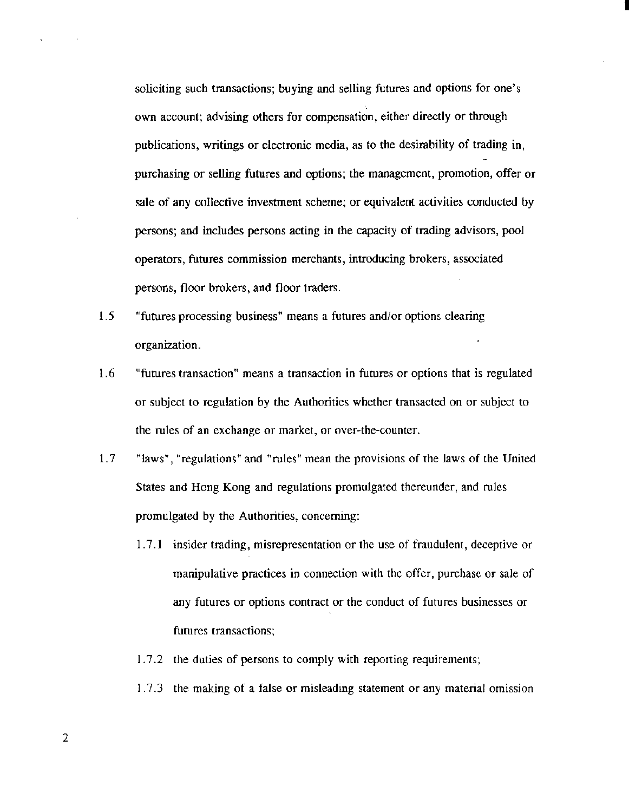soliciting such transactions; buying and selling futures and options for one's own account; advising others for compensation, either directly or through publications, writings or electronic media, as to the desirability of trading in, purchasing or selling futures and options; the management, promotion, offer or sale of any collective investment scheme; or equivalent activities conducted by persons; and includes persons acting in the capacity of trading advisors, pool operators, futures commission merchants, introducing brokers, associated persons, floor brokers, and floor traders.

I

- 1.5 "futures processing business" means a futures and/or options clearing organization.
- 1.6 "futures transaction" means a transaction in futures or options that is regulated or subject to regulation by the Authorities whether transacted on or subject to the rules of an exchange or market, or over-the-counter.
- 1. 7 "laws", ''regulations" and "rules" mean the provisions of the laws of the United States and Hong Kong and regulations promulgated thereunder, and rules promulgated by the Authorities, concerning:
	- 1. 7.1 insider trading, misrepresentation or the use of fraudulent, deceptive or manipulative practices in connection with the offer, purchase or sale of any futures or options contract or the conduct of futures businesses or futures transactions;
	- 1.7.2 the duties of persons to comply with reporting requirements;
	- I. 7.3 the making of a false or misleading statement or any material omission

2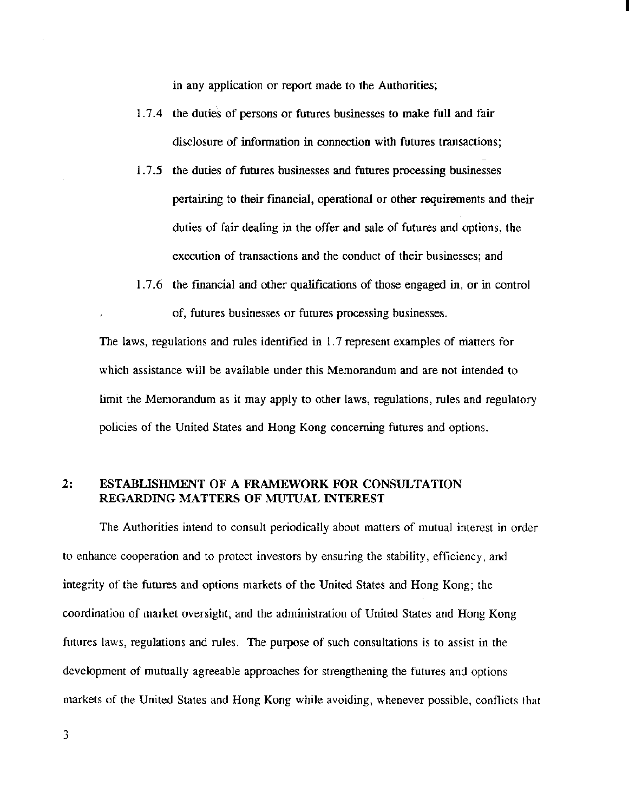in any application or report made to the Authorities;

1. 7. 4 the duties of persons or futures businesses to make full and fair disclosure of information in connection with futures transactions; I

- l. 7.5 the duties of futures businesses and futures processing businesses pertaining to their fmancial, operational or other requirements and their duties of fair dealing in the offer and sale of futures and options, the execution of transactions and the conduct of their businesses; and
- I. 7.6 the fmancial and other qualifications of those engaged in, or in control of, futures businesses or futures processing businesses.

The laws, regulations and rules identified in 1. 7 represent examples of matters for which assistance will be available under this Memorandum and are not intended to limit the Memorandum as it may apply to other laws, regulations, rules and regulatory policies of the United States and Hong Kong concerning futures and options.

## 2: ESTABLISHMENT OF A FRAMEWORK FOR CONSULTATION REGARDING MATTERS OF MUTUAL INTEREST

The Authorities intend to consult periodically about matters of mutual interest in order to enhance cooperation and to protect investors by ensuring the stability, efficiency, and integrity of the futures and options markets of the United States and Hong Kong; the coordination of market oversight; and the administration of United States and Hong Kong futures laws, regulations and rules. The purpose of such consultations is to assist in the development of mutually agreeable approaches for strengthening the futures and options markets of the United States and Hong Kong while avoiding, whenever possible, conflicts that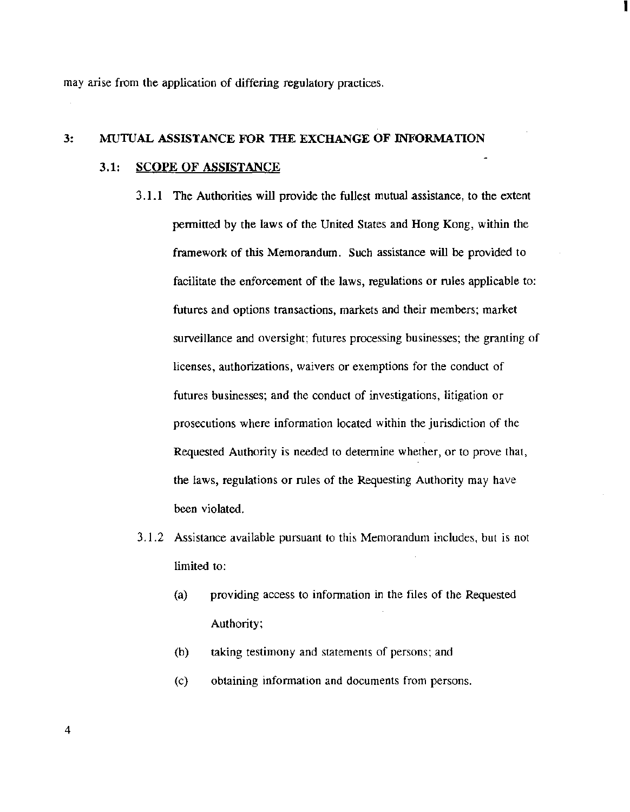may arise from the application of differing regulatory practices.

# 3: MUTUAL ASSISTANCE FOR TilE EXCHANGE OF INFORMATION

## 3.1: SCOPE OF ASSISTANCE

3.1.1 The Authorities will provide the fullest mutual assistance, to the extent permitted by the laws of the United States and Hong Kong, within the framework of this Memorandum. Such assistance will be provided to facilitate the enforcement of the laws, regulations or rules applicable to: futures and options transactions, markets and their members; market surveillance and oversight; futures processing businesses; the granting of licenses, authorizations, waivers or exemptions for the conduct of futures businesses; and the conduct of investigations, litigation or prosecutions where information located within the jurisdiction of the Requested Authority is needed to determine whether, or to prove that, the laws, regulations or rules of the Requesting Authority may have been violated.

- 3.1.2 Assistance available pursuant to this Memorandum includes, but is not limited to:
	- (a) providing access to information in the files of the Requested Authority;
	- (b) taking testimony and statements of persons; and
	- (c) obtaining information and documents from persons.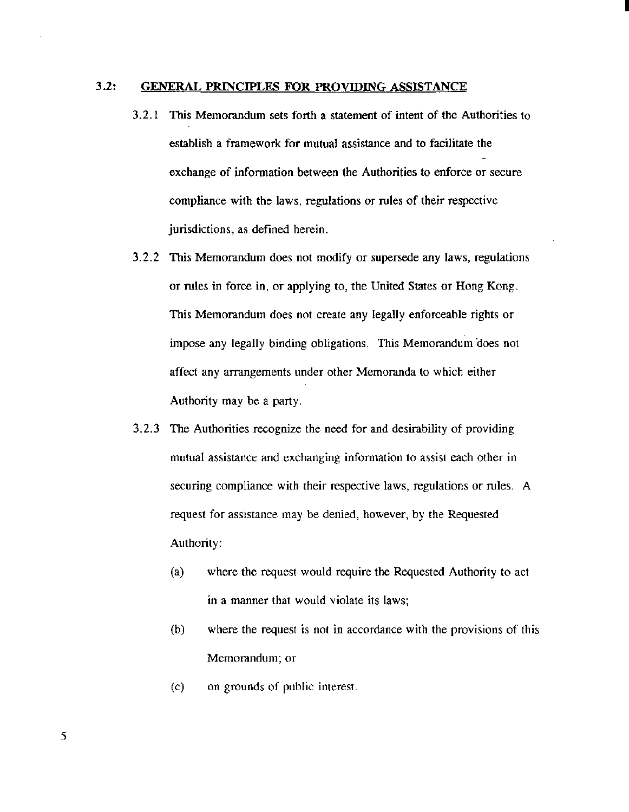#### 3.2: GENERAL PRINCIPLES FOR PROVIDING ASSISTANCE

3. 2.1 This Memorandum sets forth a statement of intent of the Authorities to establish a framework for mutual assistance and to facilitate the exchange of information between the Authorities to enforce or secure compliance with the laws, regulations or rules of their respective jurisdictions, as defined herein.

- 3.2.2 This Memorandum does not modify or supersede any laws, regulations or rules in force in, or applying to, the United States or Hong Kong. This Memorandum does not create any legally enforceable rights or impose any legally binding obligations. This Memorandum does not affect any arrangements under other Memoranda to which either Authority may be a party.
- 3.2.3 The Authorities recognize the need for and desirability of providing mutual assistance and exchanging information to assist each other in securing compliance with their respective laws, regulations or rules. A request for assistance may be denied, however, by the Requested Authority:
	- (a) where the request would require the Requested Authority to act in a manner that would violate its laws;
	- (b) where the request is not in accordance with the provisions of this Memorandum; or
	- (c) on grounds of public interest.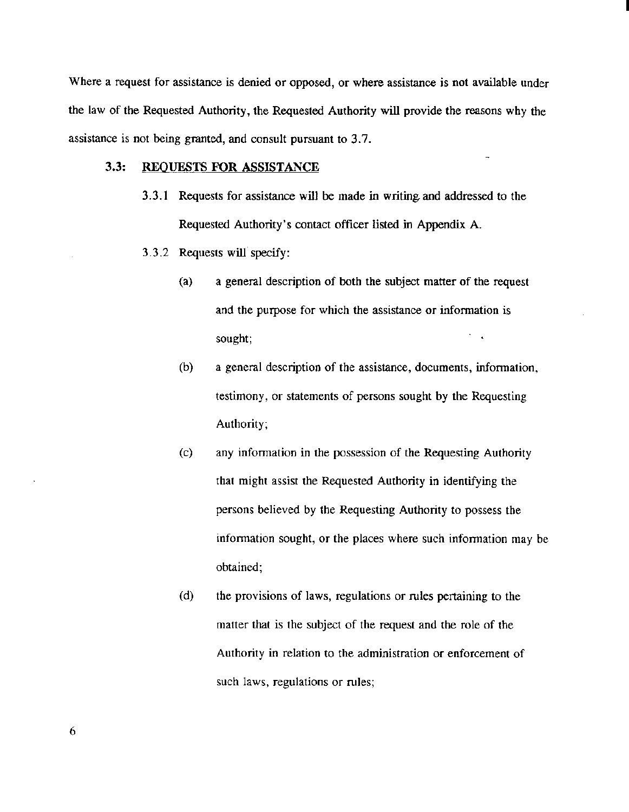Where a request for assistance is denied or opposed, or where assistance is not available under the law of the Requested Authority, the Requested Authority will provide the reasons why the assistance is not being granted, and consult pursuant to 3.7.

## 3.3: REQUESTS FOR ASSISTANCE

- 3.3.1 Requests for assistance wil1 be made in writing. and addressed to the Requested Authority's contact officer listed in Appendix A.
- 3.3.2 Requests will specify:
	- (a) a general description of both the subject matter of the request and the purpose for which the assistance or information is sought;

- (b) a general description of the assistance, documents, information, testimony, or statements of persons sought by the Requesting Authority;
- (c) any infonnation in the possession of the Requesting Authority that might assist the Requested Authority in identifying the persons believed by the Requesting Authority to possess the information sought, or the places where such information may be obtained;
- (d) the provisions of laws, regulations or rules pertaining to the matter that is the subject of the request and the role of the Authority in relation to the administration or enforcement of such laws, regulations or rules;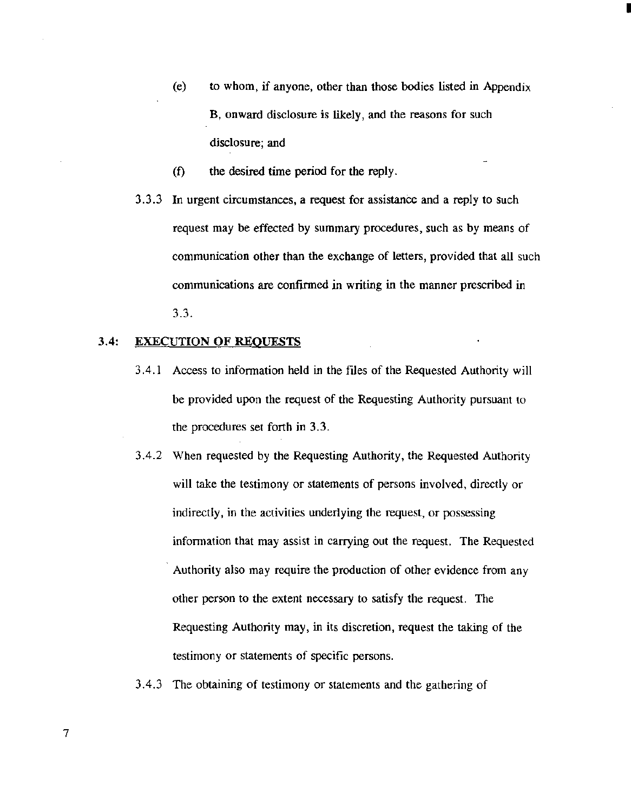(e) to whom, if anyone, other than those bodies listed in Appendix B, onward disclosure is likely, and the reasons for such disclosure; and

I

- (f) the desired time period for the reply.
- 3.3.3 In urgent circumstances, a request for assistance and a reply to such request may be effected by summary procedures, such as by means of communication other than the exchange of letters, provided that all such communications are confirmed in writing in the manner prescribed in 3.3.

## 3.4: EXECUTION OF REQUESTS

- 3 .4.1 Access to infonnation held in the files of the Requested Authority will be provided upon the request of the Requesting Authority pursuant to the procedures set forth in 3. 3.
- 3.4.2 When requested by the Requesting Authority, the Requested Authority will take the testimony or statements of persons involved, directly or indirectly, in the activities underlying the request, or possessing infonnation that may assist in carrying out the request. The Requested Authority also may require the production of other evidence from any other person to the extent necessary to satisfy the request. The Requesting Authority may, in its discretion, request the taking of the testimony or statements of specific persons.

#### 3.4.3 The obtaining of testimony or statements and the gathering of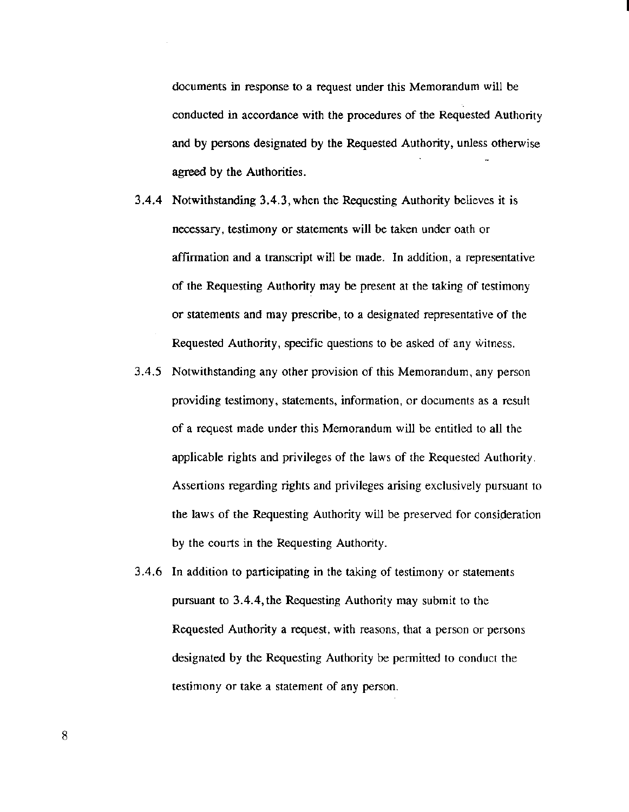documents in response to a request under this Memorandum will be conducted in accordance with the procedures of the Requested Authority and by persons designated by the Requested Authority, unless otherwise agreed by the Authorities.

- 3.4.4 Notwithstanding 3.4.3, when the Requesting Authority believes it is necessary, testimony or statements will be taken under oath or affirmation and a transcript will be made. In addition, a representative of the Requesting Authority may be present at the taking of testimony or statements and may prescribe, to a designated representative of the Requested Authority, specific questions to be asked of any witness.
- 3.4.5 Notwithstanding any other provision of this Memorandum, any person providing testimony, statements, information, or documents as a result of a request made under this Memorandum will be entitled to all the applicable rights and privileges of the laws of the Requested Authority. Assertions regarding rights and privileges arising exclusively pursuant to the laws of the Requesting Authority will be preserved for consideration by the courts in the Requesting Authority.
- 3.4.6 In addition to participating in the taking of testimony or statements pursuant to 3.4.4, the Requesting Authority may submit to the Requested Authority a request, with reasons, that a person or persons designated by the Requesting Authority be permitted to conduct the testimony or take a statement of any person.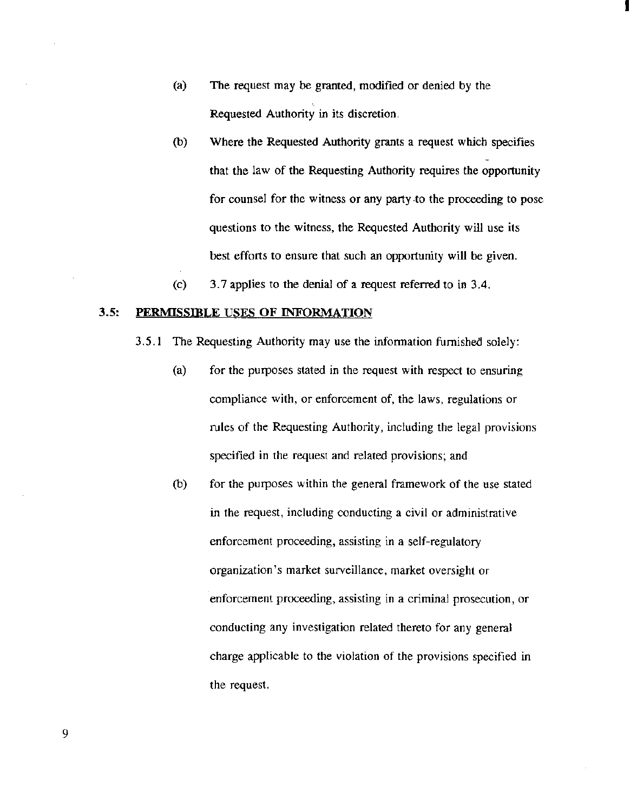- (a) The request may be granted, modified or denied by the Requested Authority in its discretion.
- (b) Where the Requested Authority grants a request which specifies that the law of the Requesting Authority requires the opportunity for counsel for the witness or any party .to the proceeding to pose questions to the witness, the Requested Authority will use its best efforts to ensure that such an opportunity will be given.

I

(c) 3. 7 applies to the denial of a request referred to in 3.4.

#### 3.5: PERMISSIDLE USES OF INFORMATION

3.5.1 The Requesting Authority may use the information furnished solely:

- (a) for the purposes stated in the request with respect to ensuring compliance with, or enforcement of, the laws, regulations or rules of the Requesting Authority, including the legal provisions specified in the request and related provisions; and
- (b) for the purposes within the general framework of the use stated in the request, including conducting a civil or administrative enforcement proceeding, assisting in a self-regulatory organization's market surveillance, market oversight or enforcement proceeding, assisting in a criminal prosecution, or conducting any investigation related thereto for any general charge applicable to the violation of the provisions specified in the request.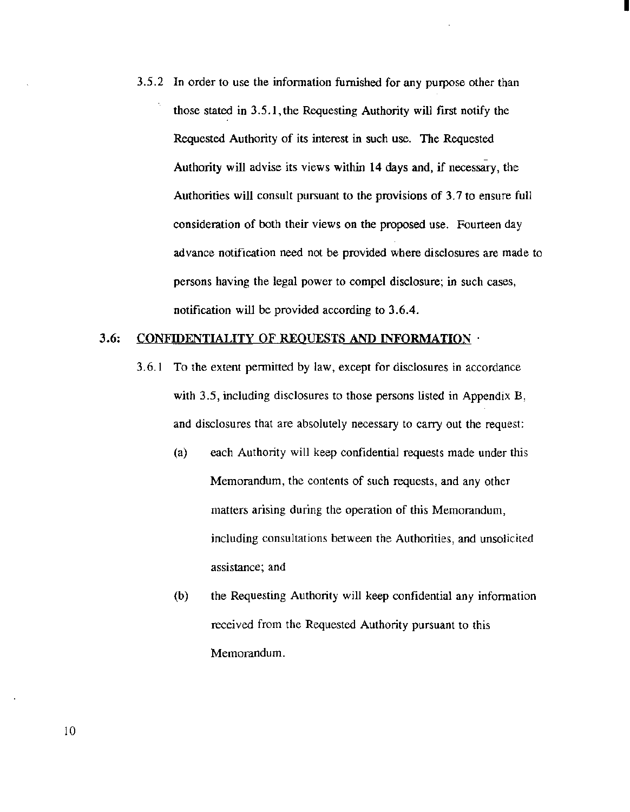3.5.2 In order to use the information furnished for any purpose other than those stated in 3.5.1, the Requesting Authority will flrst notify the Requested Authority of its interest in such use. The Requested Authority will advise its views within 14 days and, if necessary, the Authorities will consult pursuant to the provisions of 3.7 to ensure full consideration of both their views on the proposed use. Fourteen day advance notification need not be provided where disclosures are made to persons having the legal power to compel disclosure; in such cases, notification will be provided according to 3.6.4.

I

#### 3.6: CONFIDENTIALITY OF REQUESTS AND INFORMATION ·

- 3.6.1 To the extent permitted by law, except for disclosures in accordance with 3.5, including disclosures to those persons listed in Appendix B, and disclosures that are absolutely necessary to carry out the request:
	- (a) each Authority will keep confidential requests made under this Memorandum, the contents of such requests, and any other matters arising during the operation of this Memorandum, including consultations between the Authorities, and unsolicited assistance; and
	- (b) the Requesting Authority will keep confidential any information received from the Requested Authority pursuant to this Memorandum.

10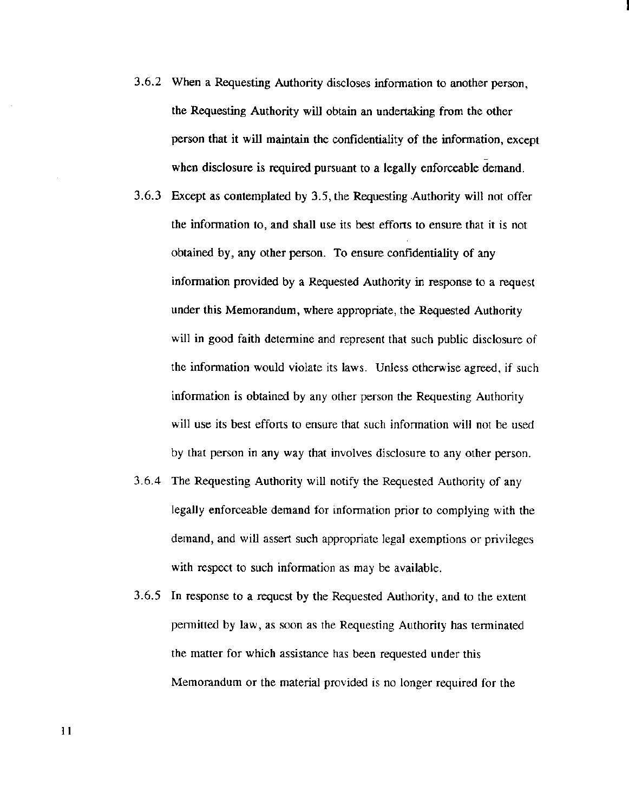- 3.6.2 When a Requesting Authority discloses information to another person, the Requesting Authority will obtain an undertaking from the other person that it will maintain the confidentiality of the information, except when disclosure is required pursuant to a legally enforceable demand.
- 3.6.3 Except as contemplated by 3.5, the Requesting Authority will not offer the information to, and shall use its best efforts to ensure that it is not obtained by, any other person. To ensure confidentiality of any infonnation provided by a Requested Authority in response to a request under this Memorandum, where appropriate, the Requested Authority will in good faith determine and represent that such public disclosure of the infonnation would violate its laws. Unless otherwise agreed, if such information is obtained by any other person the Requesting Authority will use its best efforts to ensure that such information will not be used by that person in any way that involves disclosure to any other person.
- 3.6.4 The Requesting Authority will notify the Requested Authority of any legally enforceable demand for infonnation prior to complying with the demand, and will assert such appropriate legal exemptions or privileges with respect to such information as may be available.
- 3.6.5 In response to a request by the Requested Authority, and to the extent permitted by law, as soon as the Requesting Authority has terminated the matter for which assistance has been requested under this Memorandum or the material provided is no longer required for the

II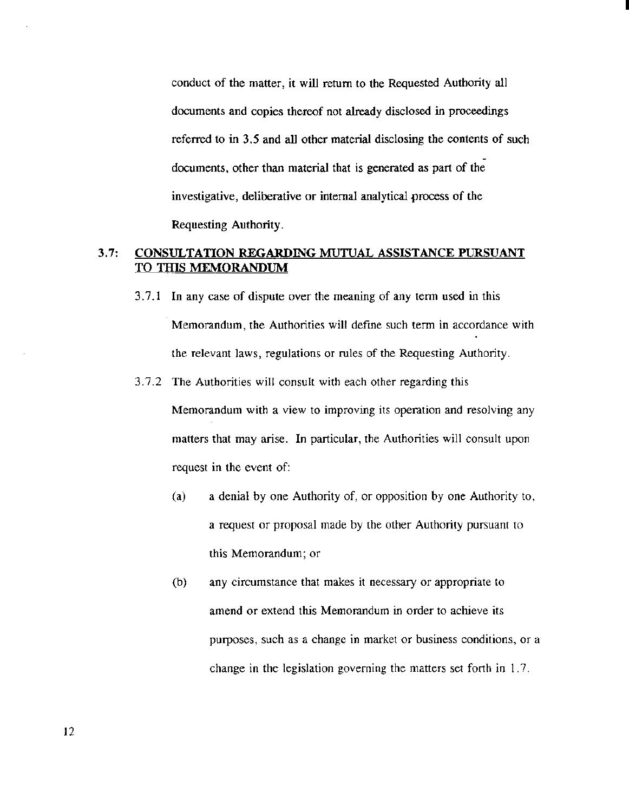conduct of the matter, it will return to the Requested Authority all documents and copies thereof not already disclosed in proceedings referred to in 3.5 and all other material disclosing the contents of such documents, other than material that is generated as part of the investigative, deliberative or internal analytical process of the Requesting Authority.

I

## 3.7: CONSULTATION REGARDING MUTUAL ASSISTANCE PURSUANT TO THIS MEMORANDUM

- 3.7.1 In any case of dispute over the meaning of any tenn used in this Memorandum, the Authorities will defme such term in accordance with the relevant laws, regulations or rules of the Requesting Authority.
- 3.7.2 The Authorities will consult with each other regarding this Memorandum with a view to improving its operation and resolving any matters that may arise. In particular, the Authorities will consult upon request in the event of:
	- (a) a denial by one Authority of, or opposition by one Authority to, a request or proposal made by the other Authority pursuant to this Memorandum; or
	- (b) any circumstance that makes it necessary or appropriate to amend or extend this Memorandum in order to achieve its purposes, such as a change in market or business conditions, or a change in the legislation governing the matters set forth in 1. 7.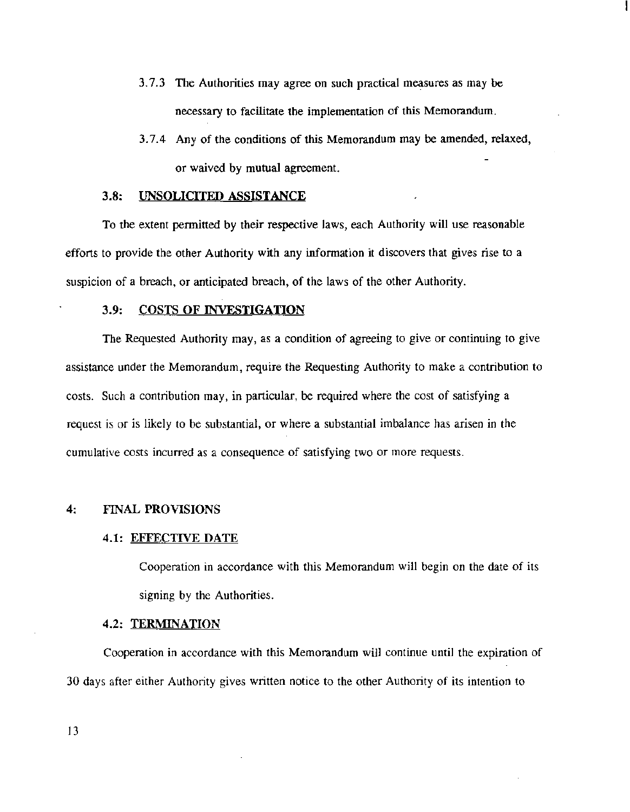- 3.7.3 The Authorities may agree on such practical measures as may be necessary to facilitate the implementation of this Memorandum.
- 3. 7.4 Any of the conditions of this Memorandum may be amended, relaxed, or waived by mutual agreement.

#### 3.8: UNSOLICITED ASSISTANCE

To the extent permitted by their respective laws, each Authority will use reasonable efforts to provide the other Authority with any information it discovers that gives rise to a suspicion of a breach, or anticipated breach, of the laws of the other Authority.

#### 3.9: COSTS OF INVESTIGATION

The Requested Authority may, as a condition of agreeing to give or continuing to give assistance under the Memorandum, require the Requesting Authority to make a contribution to costs. Such a contribution may, in particular, be required where the cost of satisfying a request is or is likely to be substantial, or where a substantial imbalance has arisen in the cumulative costs incurred as a consequence of satisfying two or more requests.

#### 4: FINAL PROVISIONS

#### 4.1: EFFECTIVE DATE

Cooperation in accordance with this Memorandum will begin on the date of its signing by the Authorities.

#### 4.2: TERMINATION

Cooperation in accordance with this Memorandum will continue until the expiration of 30 days after either Authority gives written notice to the other Authority of its intention to

13